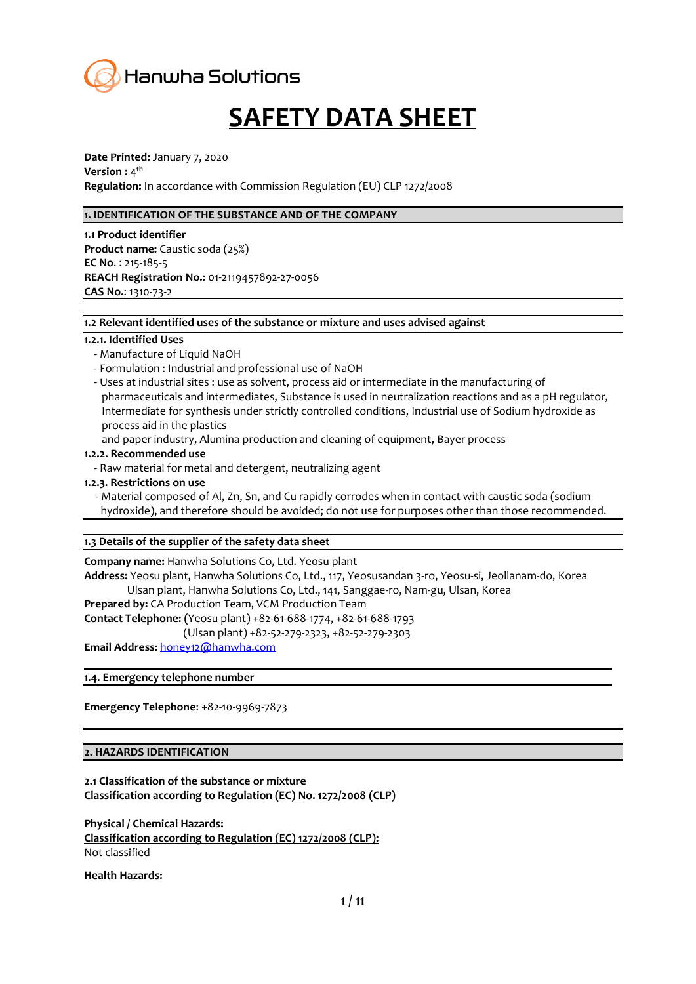

# **SAFETY DATA SHEET**

**Date Printed:** January 7, 2020 **Version :** 4<sup>th</sup> **Regulation:** In accordance with Commission Regulation (EU) CLP 1272/2008

#### **1. IDENTIFICATION OF THE SUBSTANCE AND OF THE COMPANY**

**1.1 Product identifier Product name:** Caustic soda (25%) **EC No**. : 215-185-5 **REACH Registration No.**: 01-2119457892-27-0056 **CAS No.**: 1310-73-2

#### **1.2 Relevant identified uses of the substance or mixture and uses advised against**

#### **1.2.1. Identified Uses**

- Manufacture of Liquid NaOH
- Formulation : Industrial and professional use of NaOH
- Uses at industrial sites : use as solvent, process aid or intermediate in the manufacturing of pharmaceuticals and intermediates, Substance is used in neutralization reactions and as a pH regulator, Intermediate for synthesis under strictly controlled conditions, Industrial use of Sodium hydroxide as process aid in the plastics
- and paper industry, Alumina production and cleaning of equipment, Bayer process

#### **1.2.2. Recommended use**

- Raw material for metal and detergent, neutralizing agent
- **1.2.3. Restrictions on use**
	- Material composed of Al, Zn, Sn, and Cu rapidly corrodes when in contact with caustic soda (sodium hydroxide), and therefore should be avoided; do not use for purposes other than those recommended.

#### **1.3 Details of the supplier of the safety data sheet**

**Company name:** Hanwha Solutions Co, Ltd. Yeosu plant **Address:** Yeosu plant, Hanwha Solutions Co, Ltd., 117, Yeosusandan 3-ro, Yeosu-si, Jeollanam-do, Korea Ulsan plant, Hanwha Solutions Co, Ltd., 141, Sanggae-ro, Nam-gu, Ulsan, Korea **Prepared by:** CA Production Team, VCM Production Team

- **Contact Telephone: (**Yeosu plant) +82-61-688-1774, +82-61-688-1793
- (Ulsan plant) +82-52-279-2323, +82-52-279-2303

**Email Address:** honey12@hanwha.com

**1.4. Emergency telephone number**

**Emergency Telephone**: +82-10-9969-7873

#### **2. HAZARDS IDENTIFICATION**

**2.1 Classification of the substance or mixture Classification according to Regulation (EC) No. 1272/2008 (CLP)**

**Physical / Chemical Hazards: Classification according to Regulation (EC) 1272/2008 (CLP):** Not classified

**Health Hazards:**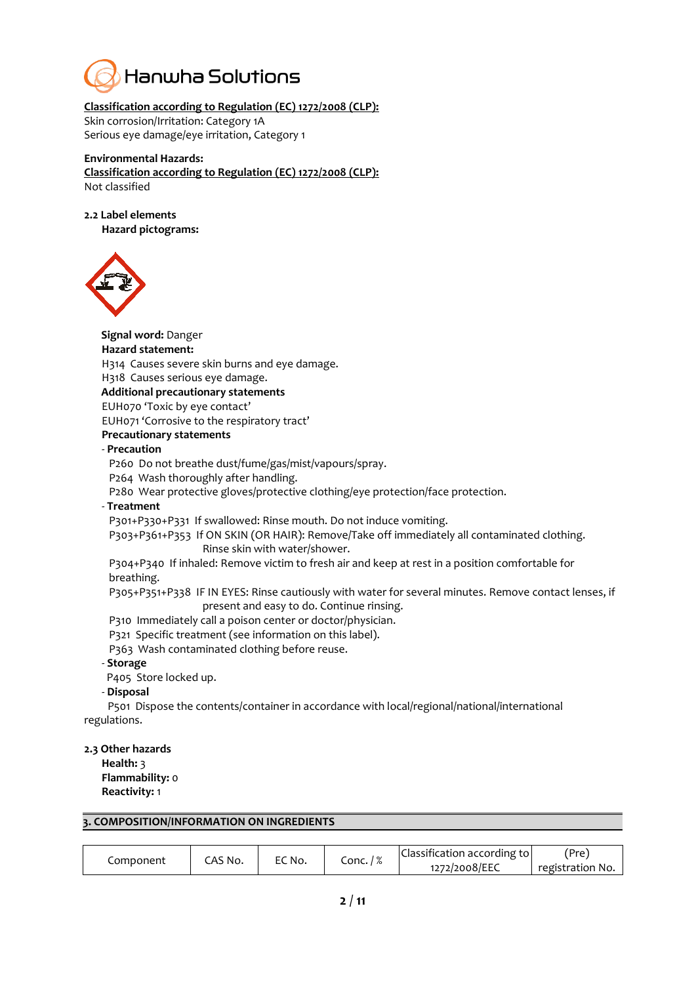

#### **Classification according to Regulation (EC) 1272/2008 (CLP):**

Skin corrosion/Irritation: Category 1A Serious eye damage/eye irritation, Category 1

#### **Environmental Hazards:**

**Classification according to Regulation (EC) 1272/2008 (CLP):** Not classified

**2.2 Label elements**

**Hazard pictograms:** 

**Signal word:** Danger



**Hazard statement:** H314 Causes severe skin burns and eye damage. H318 Causes serious eye damage. **Additional precautionary statements**  EUH070 'Toxic by eye contact' EUH071 'Corrosive to the respiratory tract' **Precautionary statements** - **Precaution** P260 Do not breathe dust/fume/gas/mist/vapours/spray. P264 Wash thoroughly after handling. P280 Wear protective gloves/protective clothing/eye protection/face protection. - **Treatment** P301+P330+P331 If swallowed: Rinse mouth. Do not induce vomiting. P303+P361+P353 If ON SKIN (OR HAIR): Remove/Take off immediately all contaminated clothing. Rinse skin with water/shower. P304+P340 If inhaled: Remove victim to fresh air and keep at rest in a position comfortable for breathing. P305+P351+P338 IF IN EYES: Rinse cautiously with water for several minutes. Remove contact lenses, if present and easy to do. Continue rinsing. P310 Immediately call a poison center or doctor/physician. P321 Specific treatment (see information on this label). P363 Wash contaminated clothing before reuse.

#### - **Storage**

P405 Store locked up.

#### - **Disposal**

P501 Dispose the contents/container in accordance with local/regional/national/international regulations.

**2.3 Other hazards**

**Health:** 3 **Flammability:** 0 **Reactivity:** 1

#### **3. COMPOSITION/INFORMATION ON INGREDIENTS**

|           | CAS No. | EC No. |           | Classification according to | 'Pre`            |
|-----------|---------|--------|-----------|-----------------------------|------------------|
| Component |         |        | Conc. / % | 1272/2008/EEC               | registration No. |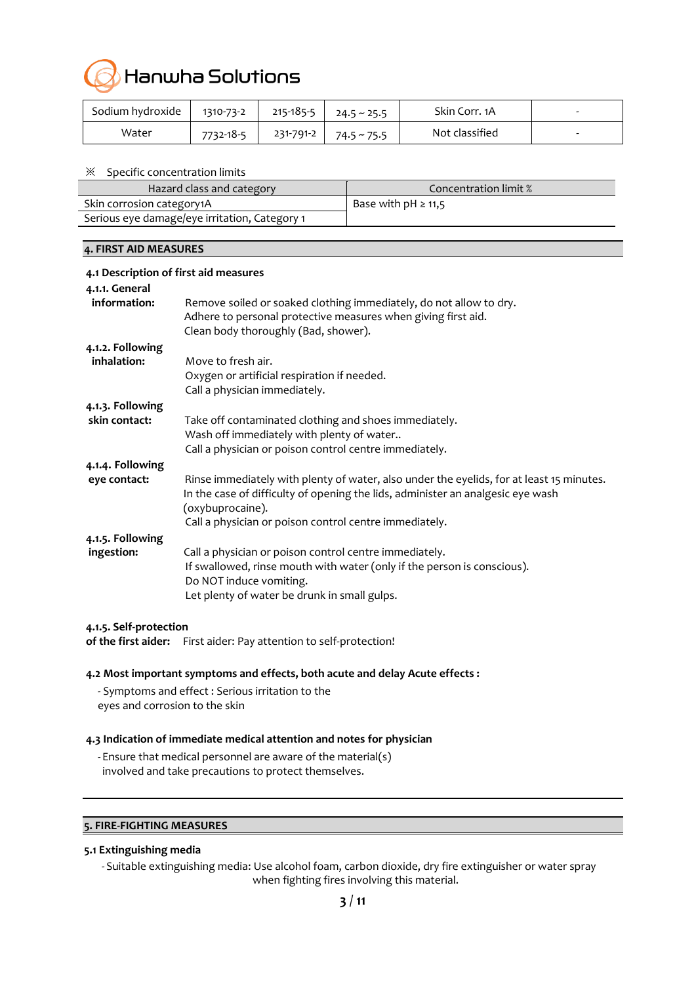

| Sodium hydroxide | 1310-73-2 | $215 - 185 - 5$ | $24.5 \approx 25.5$ | Skin Corr. 1A  | - |
|------------------|-----------|-----------------|---------------------|----------------|---|
| Water            | 7732-18-5 | 231-791-2       | 74.5 ~ 75.5         | Not classified | - |

#### ※ Specific concentration limits

| Hazard class and category                     | Concentration limit %    |
|-----------------------------------------------|--------------------------|
| Skin corrosion category1A                     | Base with $pH \geq 11,5$ |
| Serious eye damage/eye irritation, Category 1 |                          |

#### **4. FIRST AID MEASURES**

| 4.1 Description of first aid measures |                                                                                                                                                                                                              |
|---------------------------------------|--------------------------------------------------------------------------------------------------------------------------------------------------------------------------------------------------------------|
| 4.1.1. General                        |                                                                                                                                                                                                              |
| information:                          | Remove soiled or soaked clothing immediately, do not allow to dry.<br>Adhere to personal protective measures when giving first aid.<br>Clean body thoroughly (Bad, shower).                                  |
| 4.1.2. Following                      |                                                                                                                                                                                                              |
| inhalation:                           | Move to fresh air.                                                                                                                                                                                           |
|                                       | Oxygen or artificial respiration if needed.                                                                                                                                                                  |
|                                       | Call a physician immediately.                                                                                                                                                                                |
| 4.1.3. Following                      |                                                                                                                                                                                                              |
| skin contact:                         | Take off contaminated clothing and shoes immediately.                                                                                                                                                        |
|                                       | Wash off immediately with plenty of water                                                                                                                                                                    |
|                                       | Call a physician or poison control centre immediately.                                                                                                                                                       |
| 4.1.4. Following                      |                                                                                                                                                                                                              |
| eye contact:                          | Rinse immediately with plenty of water, also under the eyelids, for at least 15 minutes.<br>In the case of difficulty of opening the lids, administer an analgesic eye wash<br>(oxybuprocaine).              |
|                                       | Call a physician or poison control centre immediately.                                                                                                                                                       |
| 4.1.5. Following                      |                                                                                                                                                                                                              |
| ingestion:                            | Call a physician or poison control centre immediately.<br>If swallowed, rinse mouth with water (only if the person is conscious).<br>Do NOT induce vomiting.<br>Let plenty of water be drunk in small gulps. |

#### **4.1.5. Self-protection**

**of the first aider:** First aider: Pay attention to self-protection!

#### **4.2 Most important symptoms and effects, both acute and delay Acute effects :**

- Symptoms and effect : Serious irritation to the eyes and corrosion to the skin

#### **4.3 Indication of immediate medical attention and notes for physician**

- Ensure that medical personnel are aware of the material(s) involved and take precautions to protect themselves.

#### **5. FIRE-FIGHTING MEASURES**

#### **5.1 Extinguishing media**

- Suitable extinguishing media: Use alcohol foam, carbon dioxide, dry fire extinguisher or water spray when fighting fires involving this material.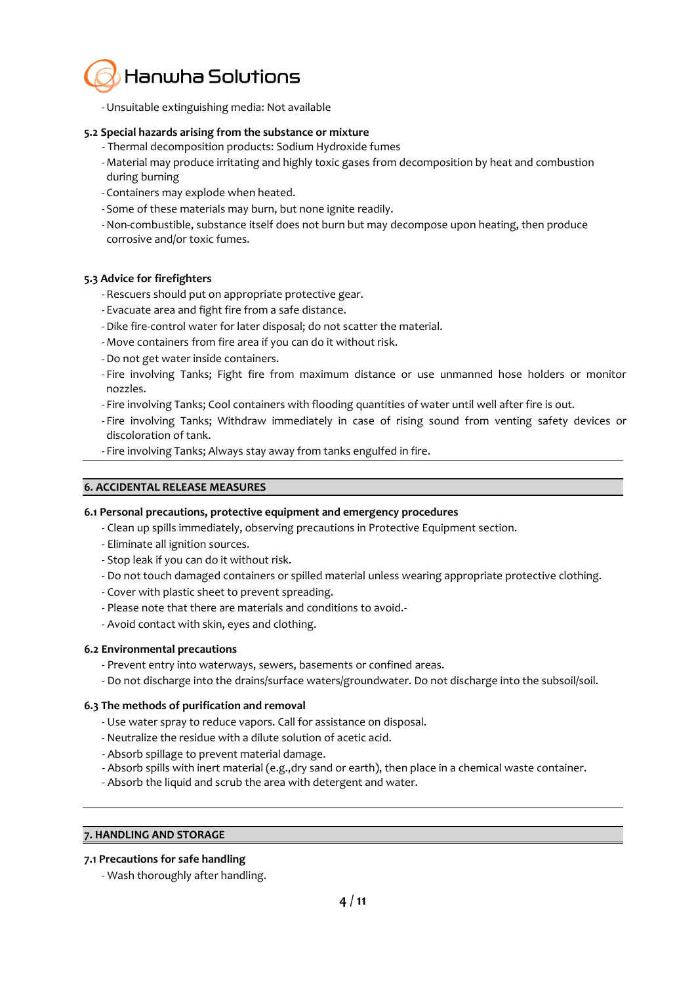

-Unsuitable extinguishing media: Not available

#### **5.2 Special hazards arising from the substance or mixture**

- Thermal decomposition products: Sodium Hydroxide fumes
- Material may produce irritating and highly toxic gases from decomposition by heat and combustion during burning
- Containers may explode when heated.
- Some of these materials may burn, but none ignite readily.
- -Non-combustible, substance itself does not burn but may decompose upon heating, then produce corrosive and/or toxic fumes.

#### **5.3 Advice for firefighters**

- Rescuers should put on appropriate protective gear.
- Evacuate area and fight fire from a safe distance.
- -Dike fire-control water for later disposal; do not scatter the material.
- Move containers from fire area if you can do it without risk.
- -Do not get water inside containers.
- Fire involving Tanks; Fight fire from maximum distance or use unmanned hose holders or monitor nozzles.
- Fire involving Tanks; Cool containers with flooding quantities of water until well after fire is out.
- Fire involving Tanks; Withdraw immediately in case of rising sound from venting safety devices or discoloration of tank.
- Fire involving Tanks; Always stay away from tanks engulfed in fire.

#### **6. ACCIDENTAL RELEASE MEASURES**

#### **6.1 Personal precautions, protective equipment and emergency procedures**

- Clean up spills immediately, observing precautions in Protective Equipment section.
- Eliminate all ignition sources.
- Stop leak if you can do it without risk.
- Do not touch damaged containers or spilled material unless wearing appropriate protective clothing.
- Cover with plastic sheet to prevent spreading.
- Please note that there are materials and conditions to avoid.-
- Avoid contact with skin, eyes and clothing.

#### **6.2 Environmental precautions**

- Prevent entry into waterways, sewers, basements or confined areas.
- Do not discharge into the drains/surface waters/groundwater. Do not discharge into the subsoil/soil.

#### **6.3 The methods of purification and removal**

- Use water spray to reduce vapors. Call for assistance on disposal.
- Neutralize the residue with a dilute solution of acetic acid.
- Absorb spillage to prevent material damage.
- Absorb spills with inert material (e.g.,dry sand or earth), then place in a chemical waste container.
- Absorb the liquid and scrub the area with detergent and water.

### **7. HANDLING AND STORAGE**

#### **7.1 Precautions for safe handling**

- Wash thoroughly after handling.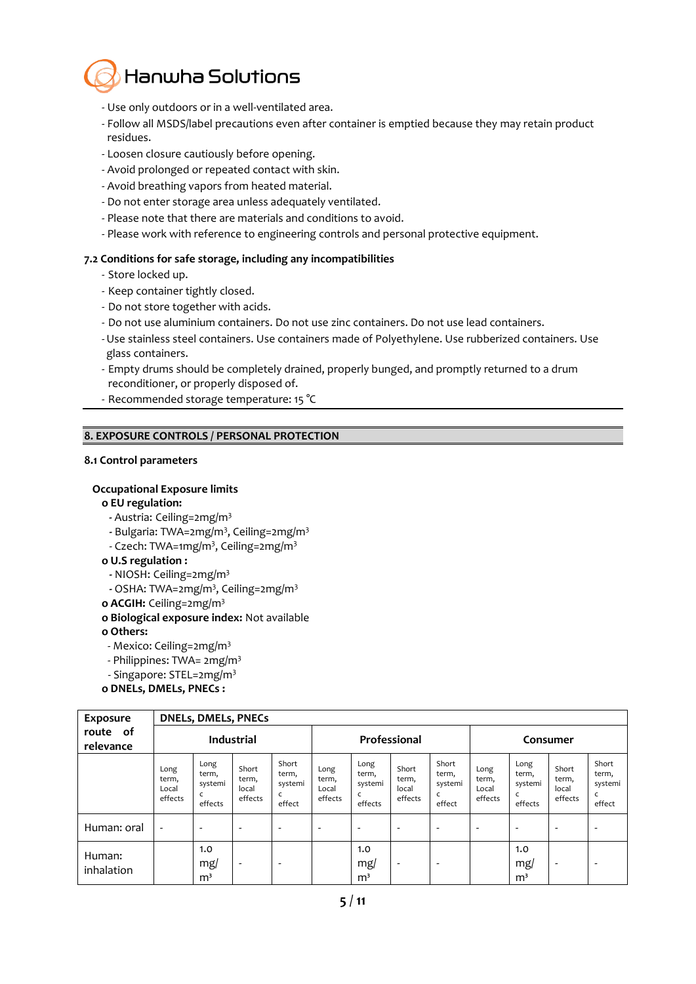

- Use only outdoors or in a well-ventilated area.
- Follow all MSDS/label precautions even after container is emptied because they may retain product residues.
- Loosen closure cautiously before opening.
- Avoid prolonged or repeated contact with skin.
- Avoid breathing vapors from heated material.
- Do not enter storage area unless adequately ventilated.
- Please note that there are materials and conditions to avoid.
- Please work with reference to engineering controls and personal protective equipment.

#### **7.2 Conditions for safe storage, including any incompatibilities**

- Store locked up.
- Keep container tightly closed.
- Do not store together with acids.
- Do not use aluminium containers. Do not use zinc containers. Do not use lead containers.
- -Use stainless steel containers. Use containers made of Polyethylene. Use rubberized containers. Use glass containers.
- Empty drums should be completely drained, properly bunged, and promptly returned to a drum reconditioner, or properly disposed of.
- Recommended storage temperature: 15 °C

#### **8. EXPOSURE CONTROLS / PERSONAL PROTECTION**

#### **8.1 Control parameters**

#### **Occupational Exposure limits**

- **ο EU regulation:**
- **-** Austria: Ceiling=2mg/m<sup>3</sup>
- **-** Bulgaria: TWA=2mg/m<sup>3</sup> , Ceiling=2mg/m<sup>3</sup>
- Czech: TWA=1mg/m<sup>3</sup> , Ceiling=2mg/m<sup>3</sup>

#### **ο U.S regulation :**

- **-** NIOSH: Ceiling=2mg/m<sup>3</sup>
- **-** OSHA: TWA=2mg/m<sup>3</sup> , Ceiling=2mg/m<sup>3</sup>
- **ο ACGIH:** Ceiling=2mg/m<sup>3</sup>
- **ο Biological exposure index:** Not available
- **ο Others:**
- Mexico: Ceiling=2mg/m<sup>3</sup>
- Philippines: TWA= 2mg/m<sup>3</sup>
- Singapore: STEL=2mg/m<sup>3</sup>
- **ο DNELs, DMELs, PNECs :**

| Exposure                 |                                   | <b>DNELs, DMELs, PNECs</b>          |                                    |                                          |                                   |                                          |                                    |                                     |                                   |                                          |                                    |                                          |
|--------------------------|-----------------------------------|-------------------------------------|------------------------------------|------------------------------------------|-----------------------------------|------------------------------------------|------------------------------------|-------------------------------------|-----------------------------------|------------------------------------------|------------------------------------|------------------------------------------|
| of<br>route<br>relevance | <b>Industrial</b>                 |                                     |                                    | Professional                             |                                   |                                          | Consumer                           |                                     |                                   |                                          |                                    |                                          |
|                          | Long<br>term,<br>Local<br>effects | Long<br>term,<br>systemi<br>effects | Short<br>term,<br>local<br>effects | Short<br>term,<br>systemi<br>c<br>effect | Long<br>term,<br>Local<br>effects | Long<br>term,<br>systemi<br>C<br>effects | Short<br>term,<br>local<br>effects | Short<br>term,<br>systemi<br>effect | Long<br>term,<br>Local<br>effects | Long<br>term,<br>systemi<br>C<br>effects | Short<br>term,<br>local<br>effects | Short<br>term,<br>systemi<br>C<br>effect |
| Human: oral              | $\overline{\phantom{a}}$          | $\overline{\phantom{0}}$            | -                                  | $\overline{\phantom{0}}$                 | $\overline{\phantom{0}}$          |                                          | $\overline{\phantom{a}}$           | $\overline{\phantom{a}}$            |                                   | $\overline{\phantom{a}}$                 | -                                  | ٠                                        |
| Human:<br>inhalation     |                                   | 1.0<br>mg/<br>m <sup>3</sup>        | -                                  | -                                        |                                   | 1.0<br>mg/<br>m <sup>3</sup>             | $\overline{\phantom{a}}$           | $\overline{\phantom{0}}$            |                                   | 1.0<br>mg/<br>m <sup>3</sup>             | -                                  | ۰                                        |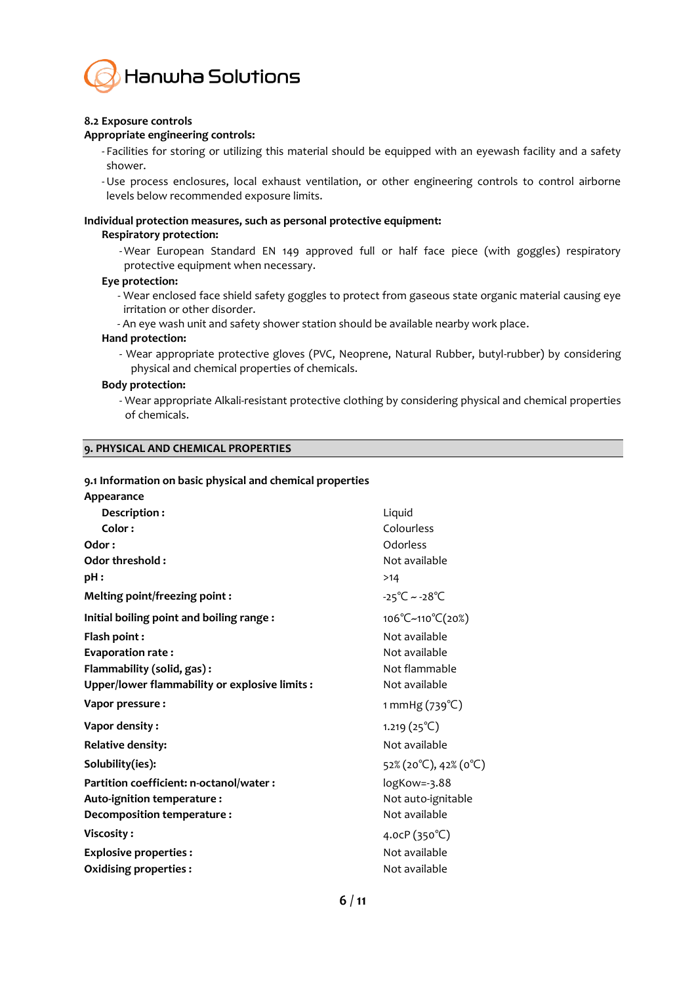

#### **8.2 Exposure controls**

#### **Appropriate engineering controls:**

- Facilities for storing or utilizing this material should be equipped with an eyewash facility and a safety shower.

-Use process enclosures, local exhaust ventilation, or other engineering controls to control airborne levels below recommended exposure limits.

#### **Individual protection measures, such as personal protective equipment:**

#### **Respiratory protection:**

- Wear European Standard EN 149 approved full or half face piece (with goggles) respiratory protective equipment when necessary.

#### **Eye protection:**

- Wear enclosed face shield safety goggles to protect from gaseous state organic material causing eye irritation or other disorder.
- An eye wash unit and safety shower station should be available nearby work place.

#### **Hand protection:**

- Wear appropriate protective gloves (PVC, Neoprene, Natural Rubber, butyl-rubber) by considering physical and chemical properties of chemicals.

#### **Body protection:**

- Wear appropriate Alkali-resistant protective clothing by considering physical and chemical properties of chemicals.

#### **9. PHYSICAL AND CHEMICAL PROPERTIES**

#### **9.1 Information on basic physical and chemical properties**

| Appearance                                     |                                   |
|------------------------------------------------|-----------------------------------|
| Description:                                   | Liquid                            |
| Color:                                         | Colourless                        |
| Odor:                                          | Odorless                          |
| Odor threshold:                                | Not available                     |
| pH:                                            | >14                               |
| Melting point/freezing point:                  | $-25^{\circ}$ C ~ $-28^{\circ}$ C |
| Initial boiling point and boiling range:       | 106°C~110°C(20%)                  |
| Flash point:                                   | Not available                     |
| <b>Evaporation rate:</b>                       | Not available                     |
| Flammability (solid, gas):                     | Not flammable                     |
| Upper/lower flammability or explosive limits : | Not available                     |
| Vapor pressure:                                | 1 mmHg $(739^{\circ}C)$           |
| Vapor density:                                 | $1.219(25^{\circ}\text{C})$       |
| <b>Relative density:</b>                       | Not available                     |
| Solubility(ies):                               | 52% (20°C), 42% (0°C)             |
| Partition coefficient: n-octanol/water :       | logKow=-3.88                      |
| Auto-ignition temperature :                    | Not auto-ignitable                |
| Decomposition temperature:                     | Not available                     |
| Viscosity:                                     | 4.0cP $(350^{\circ}C)$            |
| <b>Explosive properties:</b>                   | Not available                     |
| <b>Oxidising properties:</b>                   | Not available                     |
|                                                |                                   |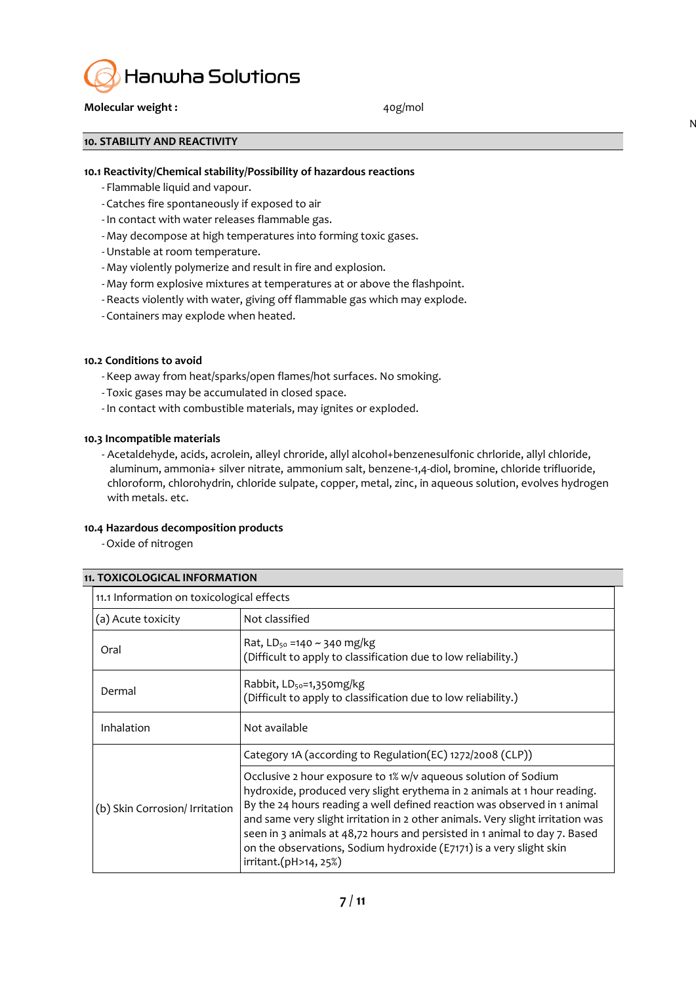

#### **Molecular weight :**  $40g/mol$

 $\mathsf{N}$ 

**10. STABILITY AND REACTIVITY**

#### **10.1 Reactivity/Chemical stability/Possibility of hazardous reactions**

- Flammable liquid and vapour.
- Catches fire spontaneously if exposed to air
- In contact with water releases flammable gas.
- May decompose at high temperatures into forming toxic gases.
- -Unstable at room temperature.
- May violently polymerize and result in fire and explosion.
- May form explosive mixtures at temperatures at or above the flashpoint.
- Reacts violently with water, giving off flammable gas which may explode.
- Containers may explode when heated.

#### **10.2 Conditions to avoid**

- Keep away from heat/sparks/open flames/hot surfaces. No smoking.
- Toxic gases may be accumulated in closed space.
- In contact with combustible materials, may ignites or exploded.

#### **10.3 Incompatible materials**

- Acetaldehyde, acids, acrolein, alleyl chroride, allyl alcohol+benzenesulfonic chrloride, allyl chloride, aluminum, ammonia+ silver nitrate, ammonium salt, benzene-1,4-diol, bromine, chloride trifluoride, chloroform, chlorohydrin, chloride sulpate, copper, metal, zinc, in aqueous solution, evolves hydrogen with metals. etc.

#### **10.4 Hazardous decomposition products**

-Oxide of nitrogen

#### **11. TOXICOLOGICAL INFORMATION**

|                                | 11.1 Information on toxicological effects                                                                                                                                                                                                                                                                                                                                                                                                                                              |  |  |  |  |
|--------------------------------|----------------------------------------------------------------------------------------------------------------------------------------------------------------------------------------------------------------------------------------------------------------------------------------------------------------------------------------------------------------------------------------------------------------------------------------------------------------------------------------|--|--|--|--|
| (a) Acute toxicity             | Not classified                                                                                                                                                                                                                                                                                                                                                                                                                                                                         |  |  |  |  |
| Oral                           | Rat, $LD_{50} = 140 \sim 340$ mg/kg<br>(Difficult to apply to classification due to low reliability.)                                                                                                                                                                                                                                                                                                                                                                                  |  |  |  |  |
| Dermal                         | Rabbit, LD <sub>50</sub> =1,350mg/kg<br>(Difficult to apply to classification due to low reliability.)                                                                                                                                                                                                                                                                                                                                                                                 |  |  |  |  |
| Inhalation                     | Not available                                                                                                                                                                                                                                                                                                                                                                                                                                                                          |  |  |  |  |
|                                | Category 1A (according to Regulation(EC) 1272/2008 (CLP))                                                                                                                                                                                                                                                                                                                                                                                                                              |  |  |  |  |
| (b) Skin Corrosion/ Irritation | Occlusive 2 hour exposure to 1% w/v aqueous solution of Sodium<br>hydroxide, produced very slight erythema in 2 animals at 1 hour reading.<br>By the 24 hours reading a well defined reaction was observed in 1 animal<br>and same very slight irritation in 2 other animals. Very slight irritation was<br>seen in 3 animals at 48,72 hours and persisted in 1 animal to day 7. Based<br>on the observations, Sodium hydroxide (E7171) is a very slight skin<br>irritant.(pH>14, 25%) |  |  |  |  |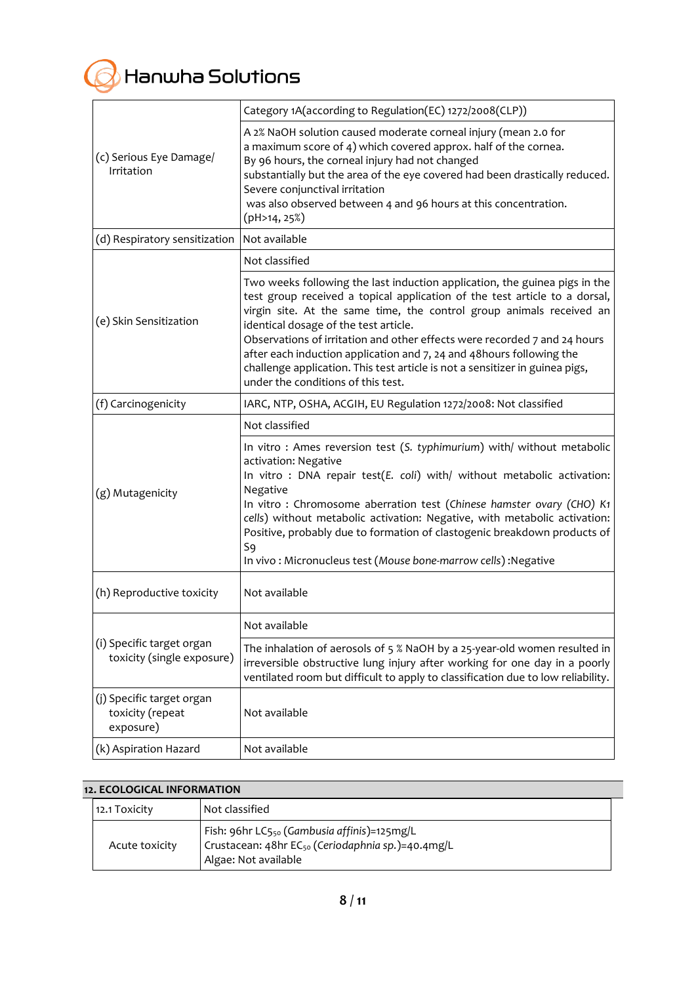

|                                                            | Category 1A(according to Regulation(EC) 1272/2008(CLP))                                                                                                                                                                                                                                                                                                                                                                                                                                                                                               |
|------------------------------------------------------------|-------------------------------------------------------------------------------------------------------------------------------------------------------------------------------------------------------------------------------------------------------------------------------------------------------------------------------------------------------------------------------------------------------------------------------------------------------------------------------------------------------------------------------------------------------|
| (c) Serious Eye Damage/<br>Irritation                      | A 2% NaOH solution caused moderate corneal injury (mean 2.0 for<br>a maximum score of 4) which covered approx. half of the cornea.<br>By 96 hours, the corneal injury had not changed<br>substantially but the area of the eye covered had been drastically reduced.<br>Severe conjunctival irritation<br>was also observed between 4 and 96 hours at this concentration.<br>(pH>14, 25%)                                                                                                                                                             |
| (d) Respiratory sensitization                              | Not available                                                                                                                                                                                                                                                                                                                                                                                                                                                                                                                                         |
|                                                            | Not classified                                                                                                                                                                                                                                                                                                                                                                                                                                                                                                                                        |
| (e) Skin Sensitization                                     | Two weeks following the last induction application, the guinea pigs in the<br>test group received a topical application of the test article to a dorsal,<br>virgin site. At the same time, the control group animals received an<br>identical dosage of the test article.<br>Observations of irritation and other effects were recorded 7 and 24 hours<br>after each induction application and 7, 24 and 48 hours following the<br>challenge application. This test article is not a sensitizer in guinea pigs,<br>under the conditions of this test. |
| (f) Carcinogenicity                                        | IARC, NTP, OSHA, ACGIH, EU Regulation 1272/2008: Not classified                                                                                                                                                                                                                                                                                                                                                                                                                                                                                       |
|                                                            | Not classified                                                                                                                                                                                                                                                                                                                                                                                                                                                                                                                                        |
| (g) Mutagenicity                                           | In vitro: Ames reversion test (S. typhimurium) with/ without metabolic<br>activation: Negative<br>In vitro : DNA repair test(E. coli) with/ without metabolic activation:<br>Negative<br>In vitro : Chromosome aberration test (Chinese hamster ovary (CHO) K1<br>cells) without metabolic activation: Negative, with metabolic activation:<br>Positive, probably due to formation of clastogenic breakdown products of<br>S9<br>In vivo: Micronucleus test (Mouse bone-marrow cells): Negative                                                       |
| (h) Reproductive toxicity                                  | Not available                                                                                                                                                                                                                                                                                                                                                                                                                                                                                                                                         |
|                                                            | Not available                                                                                                                                                                                                                                                                                                                                                                                                                                                                                                                                         |
| (i) Specific target organ<br>toxicity (single exposure)    | The inhalation of aerosols of 5 % NaOH by a 25-year-old women resulted in<br>irreversible obstructive lung injury after working for one day in a poorly<br>ventilated room but difficult to apply to classification due to low reliability.                                                                                                                                                                                                                                                                                                           |
| (j) Specific target organ<br>toxicity (repeat<br>exposure) | Not available                                                                                                                                                                                                                                                                                                                                                                                                                                                                                                                                         |
| (k) Aspiration Hazard                                      | Not available                                                                                                                                                                                                                                                                                                                                                                                                                                                                                                                                         |

| <b>12. ECOLOGICAL INFORMATION</b> |                                                                                                                                                  |  |  |  |  |
|-----------------------------------|--------------------------------------------------------------------------------------------------------------------------------------------------|--|--|--|--|
| 12.1 Toxicity                     | Not classified                                                                                                                                   |  |  |  |  |
| Acute toxicity                    | Fish: 96hr LC5 <sub>50</sub> (Gambusia affinis)=125mg/L<br>Crustacean: 48hr EC <sub>50</sub> (Ceriodaphnia sp.)=40.4mg/L<br>Algae: Not available |  |  |  |  |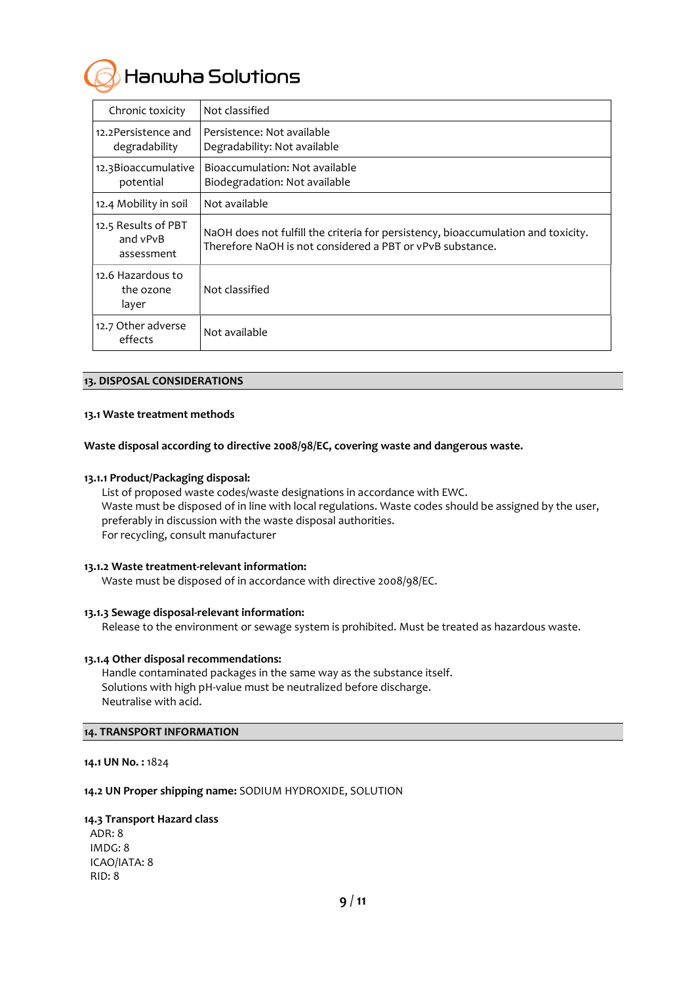## Hanwha Solutions

| Chronic toxicity                              | Not classified                                                                                                                                 |  |
|-----------------------------------------------|------------------------------------------------------------------------------------------------------------------------------------------------|--|
| 12.2 Persistence and<br>degradability         | Persistence: Not available<br>Degradability: Not available                                                                                     |  |
| 12.3 Bioaccumulative<br>potential             | Bioaccumulation: Not available<br>Biodegradation: Not available                                                                                |  |
| 12.4 Mobility in soil                         | Not available                                                                                                                                  |  |
| 12.5 Results of PBT<br>and vPvB<br>assessment | NaOH does not fulfill the criteria for persistency, bioaccumulation and toxicity.<br>Therefore NaOH is not considered a PBT or vPvB substance. |  |
| 12.6 Hazardous to<br>the ozone<br>layer       | Not classified                                                                                                                                 |  |
| 12.7 Other adverse<br>effects                 | Not available                                                                                                                                  |  |

#### **13. DISPOSAL CONSIDERATIONS**

#### **13.1 Waste treatment methods**

**Waste disposal according to directive 2008/98/EC, covering waste and dangerous waste.**

#### **13.1.1 Product/Packaging disposal:**

List of proposed waste codes/waste designations in accordance with EWC. Waste must be disposed of in line with local regulations. Waste codes should be assigned by the user, preferably in discussion with the waste disposal authorities. For recycling, consult manufacturer

#### **13.1.2 Waste treatment-relevant information:**

Waste must be disposed of in accordance with directive 2008/98/EC.

#### **13.1.3 Sewage disposal-relevant information:**

Release to the environment or sewage system is prohibited. Must be treated as hazardous waste.

#### **13.1.4 Other disposal recommendations:**

Handle contaminated packages in the same way as the substance itself. Solutions with high pH-value must be neutralized before discharge. Neutralise with acid.

#### **14. TRANSPORT INFORMATION**

**14.1 UN No. :** 1824

#### **14.2 UN Proper shipping name:** SODIUM HYDROXIDE, SOLUTION

#### **14.3 Transport Hazard class**

ADR: 8 IMDG: 8 ICAO/IATA: 8 RID: 8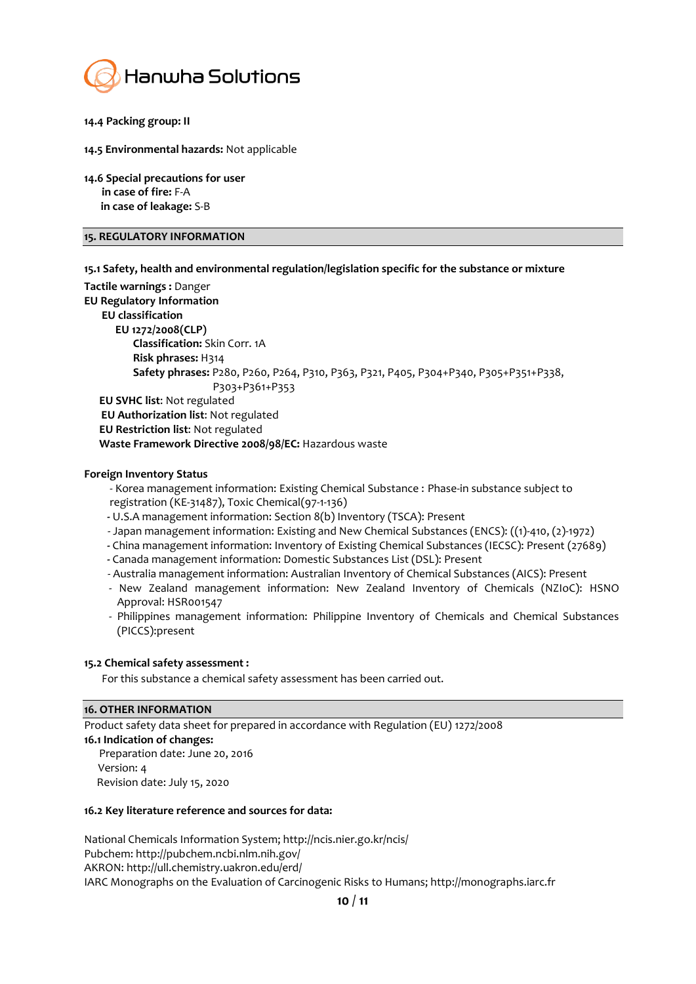

- **14.4 Packing group: II**
- **14.5 Environmental hazards:** Not applicable
- **14.6 Special precautions for user in case of fire:** F-A **in case of leakage:** S-B

#### **15. REGULATORY INFORMATION**

**15.1 Safety, health and environmental regulation/legislation specific for the substance or mixture**

**Tactile warnings :** Danger **EU Regulatory Information EU classification EU 1272/2008(CLP) Classification:** Skin Corr. 1A  **Risk phrases:** H314  **Safety phrases:** P280, P260, P264, P310, P363, P321, P405, P304+P340, P305+P351+P338, P303+P361+P353  **EU SVHC list**: Not regulated **EU Authorization list**: Not regulated **EU Restriction list**: Not regulated  **Waste Framework Directive 2008/98/EC:** Hazardous waste

#### **Foreign Inventory Status**

- Korea management information: Existing Chemical Substance : Phase-in substance subject to registration (KE-31487), Toxic Chemical(97-1-136)

- **-** U.S.A management information: Section 8(b) Inventory (TSCA): Present
- Japan management information: Existing and New Chemical Substances (ENCS): ((1)-410, (2)-1972)
- **-** China management information: Inventory of Existing Chemical Substances (IECSC): Present (27689)
- **-** Canada management information: Domestic Substances List (DSL): Present
- Australia management information: Australian Inventory of Chemical Substances (AICS): Present
- New Zealand management information: New Zealand Inventory of Chemicals (NZIoC): HSNO Approval: HSR001547
- Philippines management information: Philippine Inventory of Chemicals and Chemical Substances (PICCS):present

#### **15.2 Chemical safety assessment :**

For this substance a chemical safety assessment has been carried out.

#### **16. OTHER INFORMATION**

Product safety data sheet for prepared in accordance with Regulation (EU) 1272/2008 **16.1 Indication of changes:** Preparation date: June 20, 2016 Version: 4 Revision date: July 15, 2020

#### **16.2 Key literature reference and sources for data:**

National Chemicals Information System; http://ncis.nier.go.kr/ncis/ Pubchem: http://pubchem.ncbi.nlm.nih.gov/ AKRON: http://ull.chemistry.uakron.edu/erd/ IARC Monographs on the Evaluation of Carcinogenic Risks to Humans; http://monographs.iarc.fr